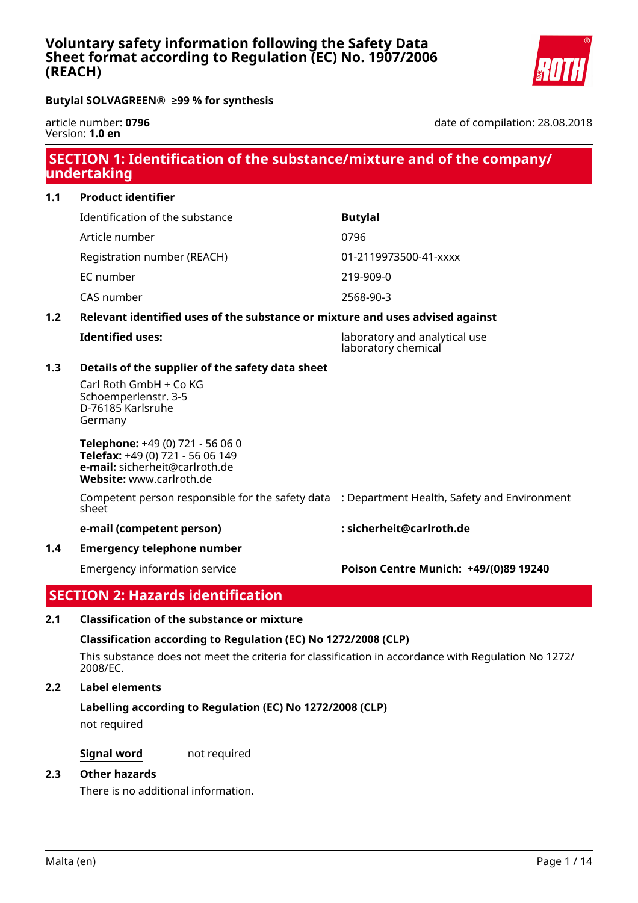# **Voluntary safety information following the Safety Data Sheet format according to Regulation (EC) No. 1907/2006 (REACH)**



**Butylal SOLVAGREEN® ≥99 % for synthesis**

article number: **0796** Version: **1.0 en**

date of compilation: 28.08.2018

# **SECTION 1: Identification of the substance/mixture and of the company/ undertaking**

**1.1 Product identifier** Identification of the substance **Butylal** Article number 0796 Registration number (REACH) 01-2119973500-41-xxxx EC number 219-909-0 CAS number 2568-90-3

# **1.2 Relevant identified uses of the substance or mixture and uses advised against**

| <b>Identified uses:</b> | laboratory and analytical use<br>laboratory chemical |
|-------------------------|------------------------------------------------------|
|                         |                                                      |

# **1.3 Details of the supplier of the safety data sheet**

Carl Roth GmbH + Co KG Schoemperlenstr. 3-5 D-76185 Karlsruhe Germany

**Telephone:** +49 (0) 721 - 56 06 0 **Telefax:** +49 (0) 721 - 56 06 149 **e-mail:** sicherheit@carlroth.de **Website:** www.carlroth.de

Competent person responsible for the safety data : Department Health, Safety and Environment sheet

#### **e-mail (competent person) : sicherheit@carlroth.de**

**1.4 Emergency telephone number**

# Emergency information service **Poison Centre Munich: +49/(0)89 19240**

# **SECTION 2: Hazards identification**

# **2.1 Classification of the substance or mixture**

# **Classification according to Regulation (EC) No 1272/2008 (CLP)**

This substance does not meet the criteria for classification in accordance with Regulation No 1272/ 2008/EC.

# **2.2 Label elements**

# **Labelling according to Regulation (EC) No 1272/2008 (CLP)**

not required

**Signal word** not required

#### **2.3 Other hazards**

There is no additional information.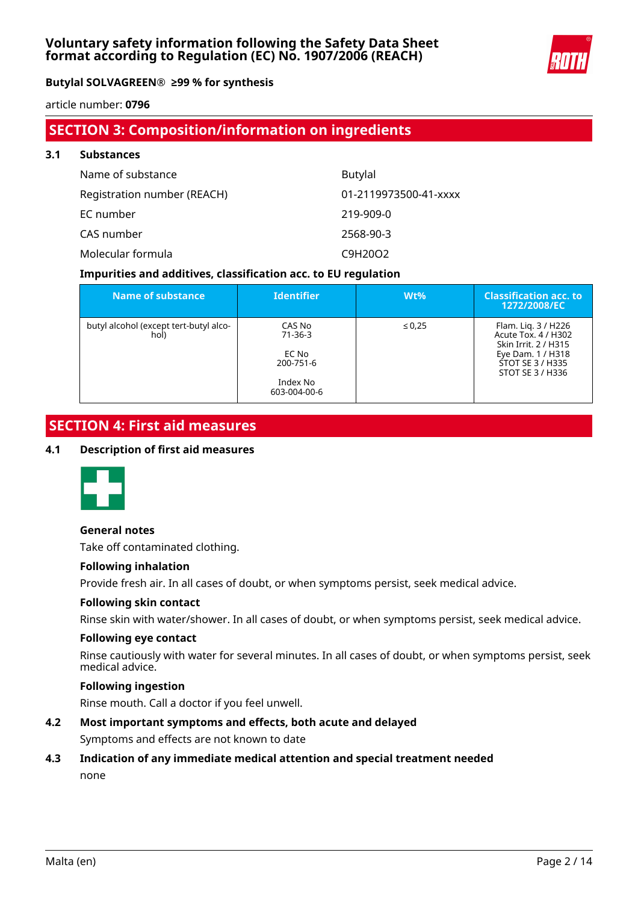

article number: **0796**

# **SECTION 3: Composition/information on ingredients**

| 3.1 | <b>Substances</b>           |                       |  |  |  |  |  |
|-----|-----------------------------|-----------------------|--|--|--|--|--|
|     | Name of substance           | <b>Butylal</b>        |  |  |  |  |  |
|     | Registration number (REACH) | 01-2119973500-41-xxxx |  |  |  |  |  |
|     | EC number                   | 219-909-0             |  |  |  |  |  |
|     | CAS number                  | 2568-90-3             |  |  |  |  |  |
|     | Molecular formula           | C9H20O2               |  |  |  |  |  |

### **Impurities and additives, classification acc. to EU regulation**

| Name of substance                              | <b>Identifier</b>                                                         | $Wt\%$      | <b>Classification acc. to</b><br>1272/2008/EC                                                                                   |
|------------------------------------------------|---------------------------------------------------------------------------|-------------|---------------------------------------------------------------------------------------------------------------------------------|
| butyl alcohol (except tert-butyl alco-<br>hol) | CAS No<br>$71 - 36 - 3$<br>EC No<br>200-751-6<br>Index No<br>603-004-00-6 | $\leq 0.25$ | Flam. Lig. 3 / H226<br>Acute Tox. 4 / H302<br>Skin Irrit, 2 / H315<br>Eye Dam. 1 / H318<br>STOT SE 3 / H335<br>STOT SE 3 / H336 |

# **SECTION 4: First aid measures**

#### **4.1 Description of first aid measures**



#### **General notes**

Take off contaminated clothing.

#### **Following inhalation**

Provide fresh air. In all cases of doubt, or when symptoms persist, seek medical advice.

#### **Following skin contact**

Rinse skin with water/shower. In all cases of doubt, or when symptoms persist, seek medical advice.

#### **Following eye contact**

Rinse cautiously with water for several minutes. In all cases of doubt, or when symptoms persist, seek medical advice.

### **Following ingestion**

Rinse mouth. Call a doctor if you feel unwell.

### **4.2 Most important symptoms and effects, both acute and delayed**

Symptoms and effects are not known to date

# **4.3 Indication of any immediate medical attention and special treatment needed** none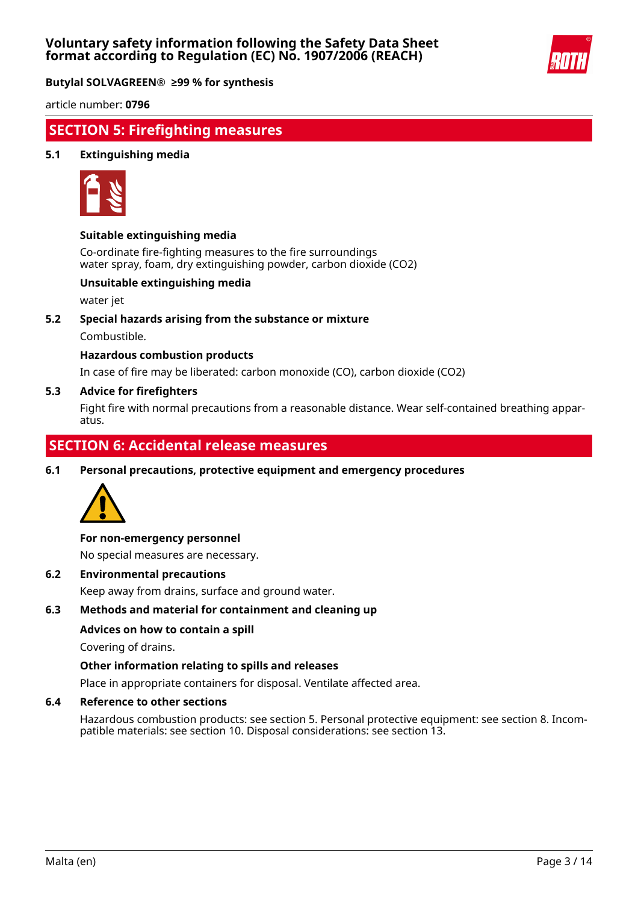

article number: **0796**

# **SECTION 5: Firefighting measures**

#### **5.1 Extinguishing media**



#### **Suitable extinguishing media**

Co-ordinate fire-fighting measures to the fire surroundings water spray, foam, dry extinguishing powder, carbon dioxide (CO2)

#### **Unsuitable extinguishing media**

water jet

**5.2 Special hazards arising from the substance or mixture**

Combustible.

#### **Hazardous combustion products**

In case of fire may be liberated: carbon monoxide (CO), carbon dioxide (CO2)

#### **5.3 Advice for firefighters**

Fight fire with normal precautions from a reasonable distance. Wear self-contained breathing apparatus.

# **SECTION 6: Accidental release measures**

**6.1 Personal precautions, protective equipment and emergency procedures**



#### **For non-emergency personnel**

No special measures are necessary.

**6.2 Environmental precautions**

Keep away from drains, surface and ground water.

#### **6.3 Methods and material for containment and cleaning up**

#### **Advices on how to contain a spill**

Covering of drains.

#### **Other information relating to spills and releases**

Place in appropriate containers for disposal. Ventilate affected area.

#### **6.4 Reference to other sections**

Hazardous combustion products: see section 5. Personal protective equipment: see section 8. Incompatible materials: see section 10. Disposal considerations: see section 13.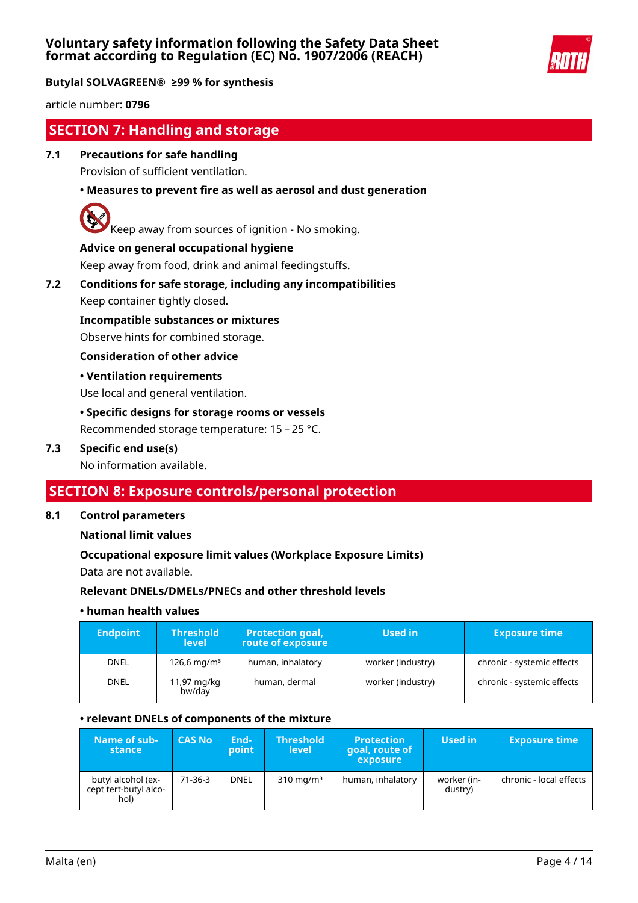

article number: **0796**

# **SECTION 7: Handling and storage**

# **7.1 Precautions for safe handling**

Provision of sufficient ventilation.

# **• Measures to prevent fire as well as aerosol and dust generation**



Keep away from sources of ignition - No smoking.

#### **Advice on general occupational hygiene**

Keep away from food, drink and animal feedingstuffs.

# **7.2 Conditions for safe storage, including any incompatibilities**

Keep container tightly closed.

**Incompatible substances or mixtures**

Observe hints for combined storage.

#### **Consideration of other advice**

#### **• Ventilation requirements**

Use local and general ventilation.

#### **• Specific designs for storage rooms or vessels**

Recommended storage temperature: 15 – 25 °C.

#### **7.3 Specific end use(s)**

No information available.

# **SECTION 8: Exposure controls/personal protection**

#### **8.1 Control parameters**

**National limit values**

#### **Occupational exposure limit values (Workplace Exposure Limits)**

Data are not available.

#### **Relevant DNELs/DMELs/PNECs and other threshold levels**

#### **• human health values**

| <b>Endpoint</b> | <b>Threshold</b><br><b>level</b> | <b>Protection goal,</b><br>route of exposure | Used in           | <b>Exposure time</b>       |
|-----------------|----------------------------------|----------------------------------------------|-------------------|----------------------------|
| <b>DNEL</b>     | $126.6 \,\mathrm{mq/m^3}$        | human, inhalatory                            | worker (industry) | chronic - systemic effects |
| <b>DNEL</b>     | 11,97 mg/kg<br>bw/day            | human, dermal                                | worker (industry) | chronic - systemic effects |

#### **• relevant DNELs of components of the mixture**

| Name of sub-<br>stance                              | <b>CAS No</b> | End-<br>point | <b>Threshold</b><br>level | <b>Protection</b><br>goal, route of<br>exposure | Used in                | <b>Exposure time</b>    |
|-----------------------------------------------------|---------------|---------------|---------------------------|-------------------------------------------------|------------------------|-------------------------|
| butyl alcohol (ex-<br>cept tert-butyl alco-<br>hol) | $71-36-3$     | <b>DNEL</b>   | $310 \text{ mg/m}^3$      | human, inhalatory                               | worker (in-<br>dustry) | chronic - local effects |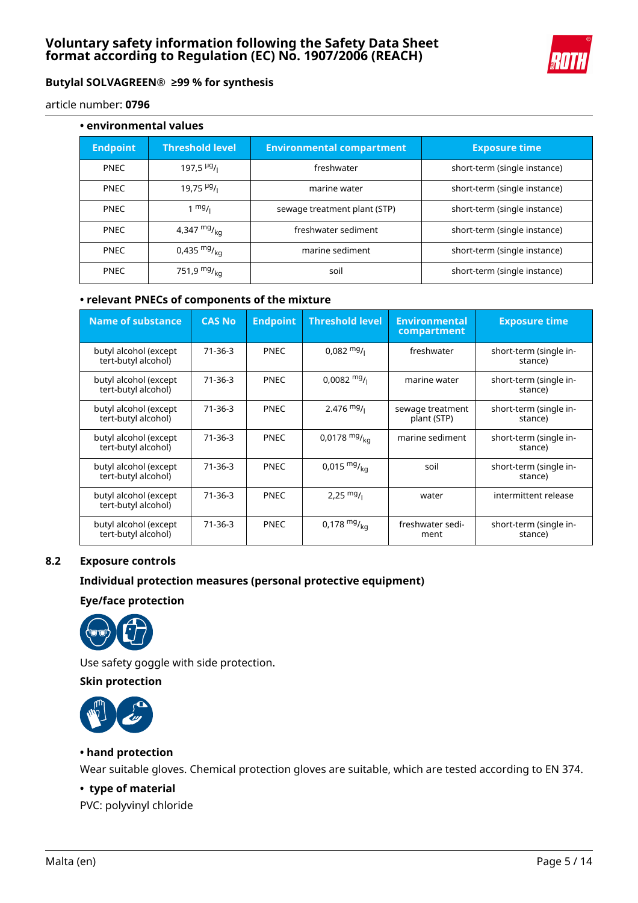

article number: **0796**

| • environmental values |                                |                                  |                              |  |  |  |  |  |
|------------------------|--------------------------------|----------------------------------|------------------------------|--|--|--|--|--|
| <b>Endpoint</b>        | <b>Threshold level</b>         | <b>Environmental compartment</b> | <b>Exposure time</b>         |  |  |  |  |  |
| <b>PNEC</b>            | 197,5 $\frac{\mu g}{\iota}$    | freshwater                       | short-term (single instance) |  |  |  |  |  |
| <b>PNEC</b>            | $19,75$ $^{19}$ / <sub>1</sub> | marine water                     | short-term (single instance) |  |  |  |  |  |
| <b>PNEC</b>            | $1 \frac{mg}{l}$               | sewage treatment plant (STP)     | short-term (single instance) |  |  |  |  |  |
| <b>PNEC</b>            | 4,347 $mg/_{kq}$               | freshwater sediment              | short-term (single instance) |  |  |  |  |  |
| <b>PNEC</b>            | 0,435 $mg/_{ka}$               | marine sediment                  | short-term (single instance) |  |  |  |  |  |
| <b>PNEC</b>            | 751,9 $mg/_{kq}$               | soil                             | short-term (single instance) |  |  |  |  |  |

### **• relevant PNECs of components of the mixture**

| <b>Name of substance</b>                     | <b>CAS No</b> | <b>Endpoint</b> | <b>Threshold level</b> | <b>Environmental</b><br>compartment | <b>Exposure time</b>              |
|----------------------------------------------|---------------|-----------------|------------------------|-------------------------------------|-----------------------------------|
| butyl alcohol (except<br>tert-butyl alcohol) | $71 - 36 - 3$ | <b>PNEC</b>     | $0.082 \frac{mg}{l}$   | freshwater                          | short-term (single in-<br>stance) |
| butyl alcohol (except<br>tert-butyl alcohol) | $71 - 36 - 3$ | <b>PNEC</b>     | $0.0082 \frac{mg}{l}$  | marine water                        | short-term (single in-<br>stance) |
| butyl alcohol (except<br>tert-butyl alcohol) | $71 - 36 - 3$ | <b>PNEC</b>     | $2.476$ mg/            | sewage treatment<br>plant (STP)     | short-term (single in-<br>stance) |
| butyl alcohol (except<br>tert-butyl alcohol) | $71-36-3$     | <b>PNEC</b>     | 0,0178 $mg/_{ka}$      | marine sediment                     | short-term (single in-<br>stance) |
| butyl alcohol (except<br>tert-butyl alcohol) | $71 - 36 - 3$ | <b>PNEC</b>     | $0,015 \frac{mg}{ka}$  | soil                                | short-term (single in-<br>stance) |
| butyl alcohol (except<br>tert-butyl alcohol) | 71-36-3       | <b>PNEC</b>     | 2,25 $mg/$             | water                               | intermittent release              |
| butyl alcohol (except<br>tert-butyl alcohol) | $71 - 36 - 3$ | <b>PNEC</b>     | 0,178 $mg/_{kq}$       | freshwater sedi-<br>ment            | short-term (single in-<br>stance) |

# **8.2 Exposure controls**

### **Individual protection measures (personal protective equipment)**

#### **Eye/face protection**



Use safety goggle with side protection.

### **Skin protection**



#### **• hand protection**

Wear suitable gloves. Chemical protection gloves are suitable, which are tested according to EN 374.

# **• type of material**

PVC: polyvinyl chloride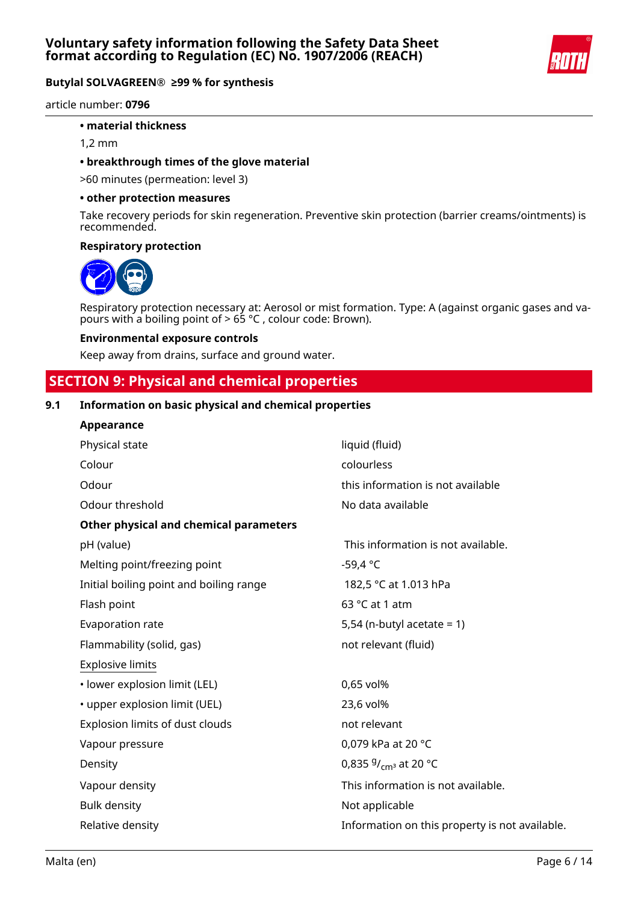

article number: **0796**

#### **• material thickness**

1,2 mm

#### **• breakthrough times of the glove material**

>60 minutes (permeation: level 3)

#### **• other protection measures**

Take recovery periods for skin regeneration. Preventive skin protection (barrier creams/ointments) is recommended.

#### **Respiratory protection**



Respiratory protection necessary at: Aerosol or mist formation. Type: A (against organic gases and vapours with a boiling point of > 65 °C , colour code: Brown).

#### **Environmental exposure controls**

Keep away from drains, surface and ground water.

# **SECTION 9: Physical and chemical properties**

### **9.1 Information on basic physical and chemical properties**

| Appearance                              |                                                |
|-----------------------------------------|------------------------------------------------|
| Physical state                          | liquid (fluid)                                 |
| Colour                                  | colourless                                     |
| Odour                                   | this information is not available              |
| Odour threshold                         | No data available                              |
| Other physical and chemical parameters  |                                                |
| pH (value)                              | This information is not available.             |
| Melting point/freezing point            | $-59,4 °C$                                     |
| Initial boiling point and boiling range | 182,5 °C at 1.013 hPa                          |
| Flash point                             | 63 °C at 1 atm                                 |
| Evaporation rate                        | 5,54 (n-butyl acetate = $1$ )                  |
| Flammability (solid, gas)               | not relevant (fluid)                           |
| <b>Explosive limits</b>                 |                                                |
| · lower explosion limit (LEL)           | 0,65 vol%                                      |
| • upper explosion limit (UEL)           | 23,6 vol%                                      |
| Explosion limits of dust clouds         | not relevant                                   |
| Vapour pressure                         | 0,079 kPa at 20 °C                             |
| Density                                 | 0,835 $9/_{cm^3}$ at 20 °C                     |
| Vapour density                          | This information is not available.             |
| <b>Bulk density</b>                     | Not applicable                                 |
| Relative density                        | Information on this property is not available. |
|                                         |                                                |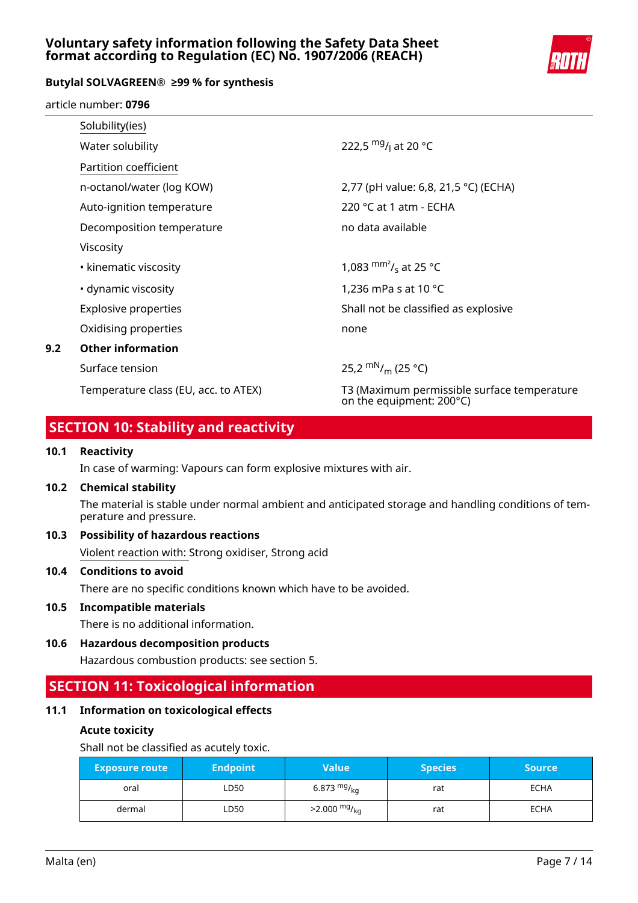# **Voluntary safety information following the Safety Data Sheet format according to Regulation (EC) No. 1907/2006 (REACH)**



### **Butylal SOLVAGREEN® ≥99 % for synthesis**

article number: **0796**

|     | Solubility(ies)                      |                                                                         |
|-----|--------------------------------------|-------------------------------------------------------------------------|
|     | Water solubility                     | 222.5 mg/ <sub>L</sub> at 20 °C                                         |
|     | Partition coefficient                |                                                                         |
|     | n-octanol/water (log KOW)            | 2,77 (pH value: 6,8, 21,5 °C) (ECHA)                                    |
|     | Auto-ignition temperature            | 220 °C at 1 atm - ECHA                                                  |
|     | Decomposition temperature            | no data available                                                       |
|     | Viscosity                            |                                                                         |
|     | • kinematic viscosity                | 1,083 $\text{mm}^2$ / <sub>s</sub> at 25 °C                             |
|     | • dynamic viscosity                  | 1,236 mPa s at 10 $^{\circ}$ C                                          |
|     | <b>Explosive properties</b>          | Shall not be classified as explosive                                    |
|     | Oxidising properties                 | none                                                                    |
| 9.2 | <b>Other information</b>             |                                                                         |
|     | Surface tension                      | 25,2 $\rm{mN}_{\ell m}$ (25 °C)                                         |
|     | Temperature class (EU, acc. to ATEX) | T3 (Maximum permissible surface temperature<br>on the equipment: 200°C) |

# **SECTION 10: Stability and reactivity**

#### **10.1 Reactivity**

In case of warming: Vapours can form explosive mixtures with air.

#### **10.2 Chemical stability**

The material is stable under normal ambient and anticipated storage and handling conditions of temperature and pressure.

# **10.3 Possibility of hazardous reactions**

Violent reaction with: Strong oxidiser, Strong acid

#### **10.4 Conditions to avoid**

There are no specific conditions known which have to be avoided.

#### **10.5 Incompatible materials**

There is no additional information.

**10.6 Hazardous decomposition products**

Hazardous combustion products: see section 5.

# **SECTION 11: Toxicological information**

# **11.1 Information on toxicological effects**

#### **Acute toxicity**

Shall not be classified as acutely toxic.

| <b>Exposure route</b> | <b>Endpoint</b> | <b>Value</b>               | <b>Species</b> | <b>Source</b> |
|-----------------------|-----------------|----------------------------|----------------|---------------|
| oral                  | LD50.           | 6.873 $mg/kq$              | rat            | <b>ECHA</b>   |
| dermal                | LD50            | $>2.000$ mg/ <sub>kg</sub> | rat            | <b>ECHA</b>   |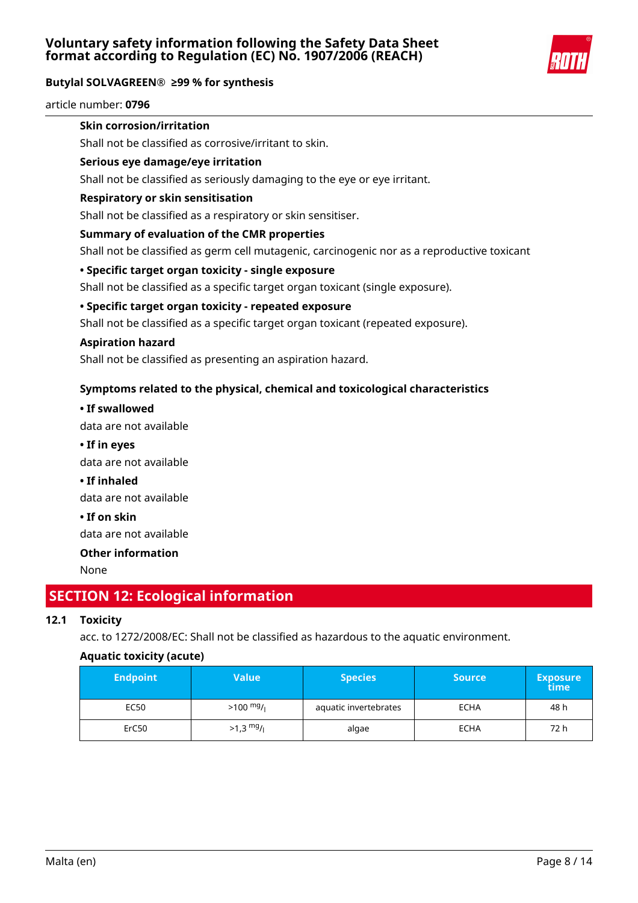

article number: **0796**

# **Skin corrosion/irritation**

Shall not be classified as corrosive/irritant to skin.

### **Serious eye damage/eye irritation**

Shall not be classified as seriously damaging to the eye or eye irritant.

#### **Respiratory or skin sensitisation**

Shall not be classified as a respiratory or skin sensitiser.

### **Summary of evaluation of the CMR properties**

Shall not be classified as germ cell mutagenic, carcinogenic nor as a reproductive toxicant

### **• Specific target organ toxicity - single exposure**

Shall not be classified as a specific target organ toxicant (single exposure).

### **• Specific target organ toxicity - repeated exposure**

Shall not be classified as a specific target organ toxicant (repeated exposure).

#### **Aspiration hazard**

Shall not be classified as presenting an aspiration hazard.

# **Symptoms related to the physical, chemical and toxicological characteristics**

**• If swallowed**

data are not available

**• If in eyes**

data are not available

**• If inhaled**

data are not available

**• If on skin**

data are not available

# **Other information**

None

# **SECTION 12: Ecological information**

# **12.1 Toxicity**

acc. to 1272/2008/EC: Shall not be classified as hazardous to the aquatic environment.

# **Aquatic toxicity (acute)**

| <b>Endpoint</b> | Value                   | <b>Species</b>        |             | <b>Exposure</b><br>time |
|-----------------|-------------------------|-----------------------|-------------|-------------------------|
| EC50            | $>100$ mg/ <sub>1</sub> | aquatic invertebrates | <b>ECHA</b> | 48 h                    |
| ErC50           | $>1.3$ mg/              | algae                 | <b>ECHA</b> | 72 h                    |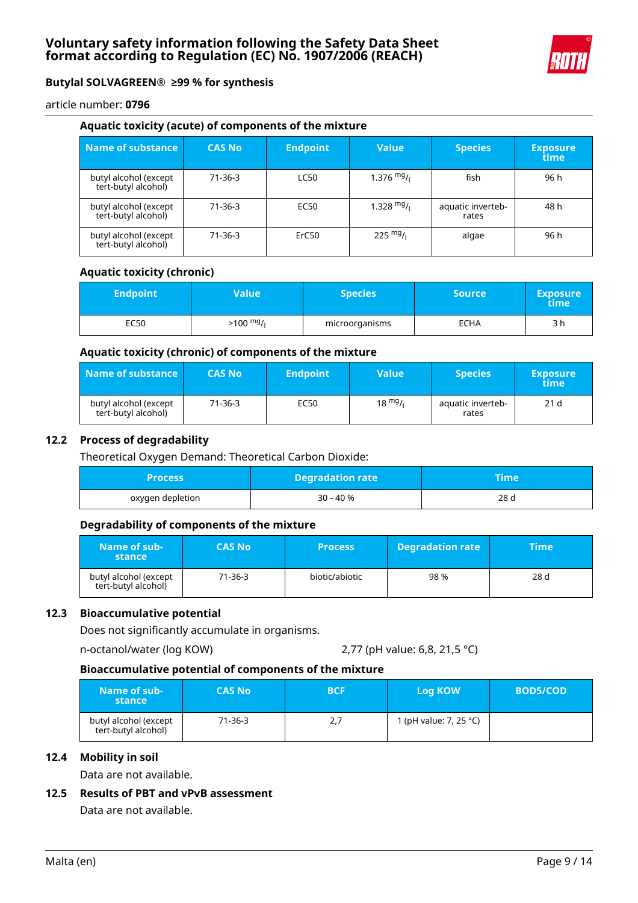

article number: **0796**

#### **Aquatic toxicity (acute) of components of the mixture**

| Name of substance                            | <b>CAS No</b> | <b>Endpoint</b> | <b>Value</b> | <b>Species</b>             | <b>Exposure</b><br>time |
|----------------------------------------------|---------------|-----------------|--------------|----------------------------|-------------------------|
| butyl alcohol (except<br>tert-butyl alcohol) | $71-36-3$     | <b>LC50</b>     | $1.376$ mg/  | fish                       | 96 h                    |
| butyl alcohol (except<br>tert-butyl alcohol) | $71-36-3$     | EC50            | $1.328$ mg/  | aquatic inverteb-<br>rates | 48 h                    |
| butyl alcohol (except<br>tert-butyl alcohol) | $71-36-3$     | ErC50           | 225 $mg/1$   | algae                      | 96 h                    |

#### **Aquatic toxicity (chronic)**

| <b>Endpoint</b> | Value\              | <b>Species</b> | <b>Source</b> | <b>Exposure</b><br>time |
|-----------------|---------------------|----------------|---------------|-------------------------|
| EC50            | $>100 \frac{mg}{l}$ | microorganisms | ECHA          | 3 h                     |

#### **Aquatic toxicity (chronic) of components of the mixture**

| Name of substance                            | <b>CAS No</b> | <b>Endpoint</b> | Value             | <b>Species</b>             | <b>Exposure</b><br>time |
|----------------------------------------------|---------------|-----------------|-------------------|----------------------------|-------------------------|
| butyl alcohol (except<br>tert-butyl alcohol) | 71-36-3       | EC50            | $18 \frac{mg}{l}$ | aquatic inverteb-<br>rates | 21 <sub>d</sub>         |

#### **12.2 Process of degradability**

Theoretical Oxygen Demand: Theoretical Carbon Dioxide:

| Process          | <b>Degradation rate</b> | Time |
|------------------|-------------------------|------|
| oxygen depletion | 30 – 40 %               | 28 d |

#### **Degradability of components of the mixture**

| Name of sub-<br>stance                       | <b>CAS No</b> | <b>Process</b> | <b>Degradation rate</b> | <b>Time</b> |
|----------------------------------------------|---------------|----------------|-------------------------|-------------|
| butyl alcohol (except<br>tert-butyl alcohol) | 71-36-3       | biotic/abiotic | 98%                     | 28 d        |

#### **12.3 Bioaccumulative potential**

Does not significantly accumulate in organisms.

```
n-octanol/water (log KOW) 2,77 (pH value: 6,8, 21,5 °C)
```
#### **Bioaccumulative potential of components of the mixture**

| Name of sub-<br>stance                       | <b>CAS No</b> | <b>BCF</b> | <b>Log KOW</b>         | <b>BOD5/COD</b> |
|----------------------------------------------|---------------|------------|------------------------|-----------------|
| butyl alcohol (except<br>tert-butyl alcohol) | 71-36-3       | 2,7        | 1 (pH value: 7, 25 °C) |                 |

## **12.4 Mobility in soil**

Data are not available.

# **12.5 Results of PBT and vPvB assessment**

Data are not available.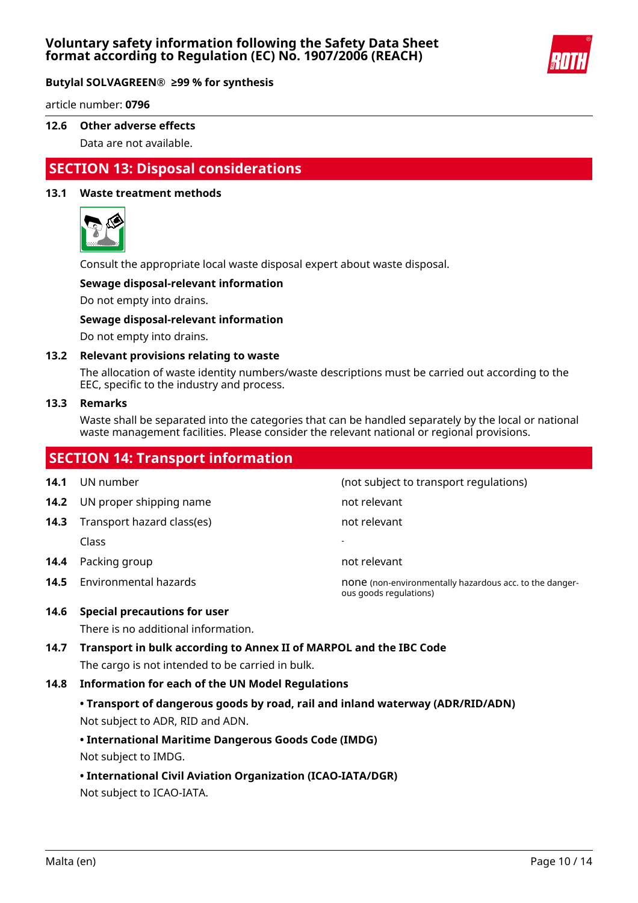

article number: **0796**

#### **12.6 Other adverse effects**

Data are not available.

# **SECTION 13: Disposal considerations**

### **13.1 Waste treatment methods**



Consult the appropriate local waste disposal expert about waste disposal.

#### **Sewage disposal-relevant information**

Do not empty into drains.

#### **Sewage disposal-relevant information**

Do not empty into drains.

#### **13.2 Relevant provisions relating to waste**

The allocation of waste identity numbers/waste descriptions must be carried out according to the EEC, specific to the industry and process.

#### **13.3 Remarks**

Waste shall be separated into the categories that can be handled separately by the local or national waste management facilities. Please consider the relevant national or regional provisions.

# **SECTION 14: Transport information 14.1** UN number **14.1** UN number **14.1** UN number **14.2** UN proper shipping name not relevant **14.3** Transport hazard class(es) not relevant Class - **14.4** Packing group **not relevant 14.5** Environmental hazards **none (non-environmentally hazardous acc. to the danger**ous goods regulations)

### **14.6 Special precautions for user**

There is no additional information.

# **14.7 Transport in bulk according to Annex II of MARPOL and the IBC Code** The cargo is not intended to be carried in bulk.

#### **14.8 Information for each of the UN Model Regulations**

# **• Transport of dangerous goods by road, rail and inland waterway (ADR/RID/ADN)** Not subject to ADR, RID and ADN.

# **• International Maritime Dangerous Goods Code (IMDG)**

Not subject to IMDG.

# **• International Civil Aviation Organization (ICAO-IATA/DGR)**

Not subject to ICAO-IATA.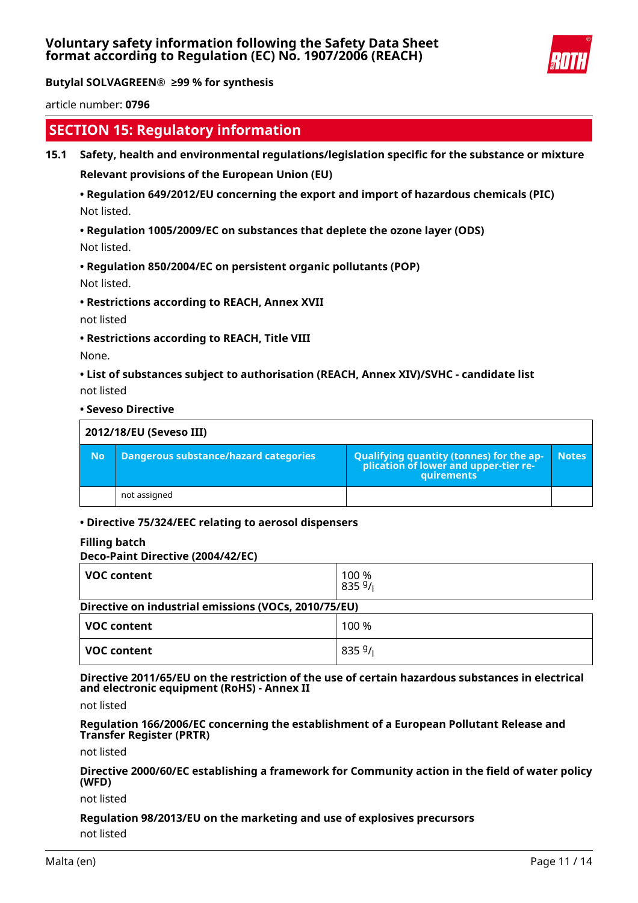

article number: **0796**

# **SECTION 15: Regulatory information**

#### **15.1 Safety, health and environmental regulations/legislation specific for the substance or mixture**

**Relevant provisions of the European Union (EU)**

# **• Regulation 649/2012/EU concerning the export and import of hazardous chemicals (PIC)** Not listed.

**• Regulation 1005/2009/EC on substances that deplete the ozone layer (ODS)**

Not listed.

# **• Regulation 850/2004/EC on persistent organic pollutants (POP)** Not listed.

**• Restrictions according to REACH, Annex XVII**

not listed

**• Restrictions according to REACH, Title VIII**

None.

**• List of substances subject to authorisation (REACH, Annex XIV)/SVHC - candidate list** not listed

**• Seveso Directive**

|           | 2012/18/EU (Seveso III)               |                                                                                            |              |  |
|-----------|---------------------------------------|--------------------------------------------------------------------------------------------|--------------|--|
| <b>No</b> | Dangerous substance/hazard categories | Qualifying quantity (tonnes) for the application of lower and upper-tier re-<br>quirements | <b>Notes</b> |  |
|           | not assigned                          |                                                                                            |              |  |

# **• Directive 75/324/EEC relating to aerosol dispensers**

#### **Filling batch**

#### **Deco-Paint Directive (2004/42/EC)**

| <b>VOC content</b>                                   | 100 %<br>8359/ |  |  |
|------------------------------------------------------|----------------|--|--|
| Directive on industrial emissions (VOCs, 2010/75/EU) |                |  |  |
| <b>VOC content</b>                                   | 100 %          |  |  |
| <b>VOC content</b>                                   | 8359/          |  |  |

**Directive 2011/65/EU on the restriction of the use of certain hazardous substances in electrical and electronic equipment (RoHS) - Annex II**

not listed

**Regulation 166/2006/EC concerning the establishment of a European Pollutant Release and Transfer Register (PRTR)**

not listed

**Directive 2000/60/EC establishing a framework for Community action in the field of water policy (WFD)**

not listed

# **Regulation 98/2013/EU on the marketing and use of explosives precursors**

not listed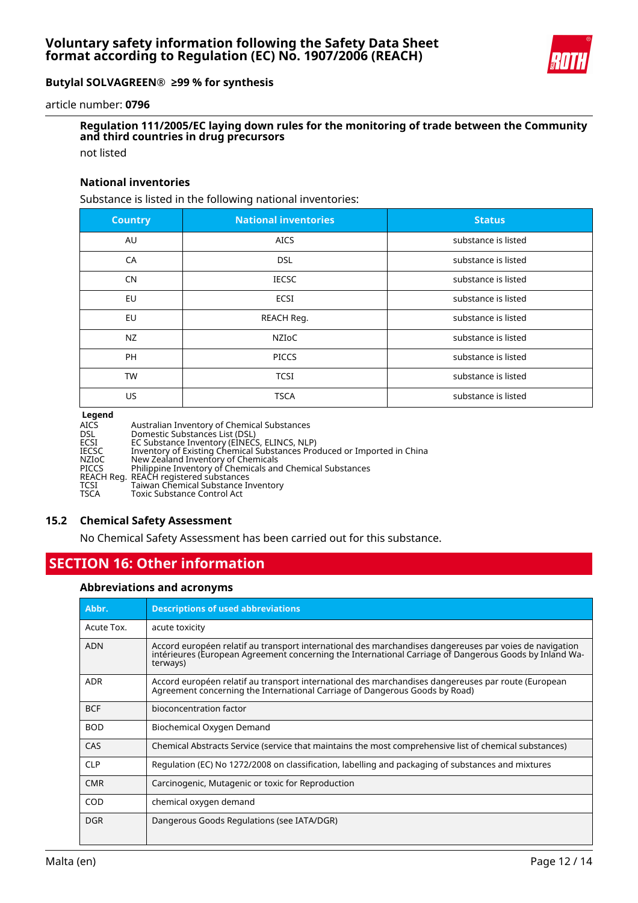

article number: **0796**

# **Regulation 111/2005/EC laying down rules for the monitoring of trade between the Community and third countries in drug precursors**

not listed

#### **National inventories**

Substance is listed in the following national inventories:

| <b>Country</b> | <b>National inventories</b> | <b>Status</b>       |
|----------------|-----------------------------|---------------------|
| AU             | <b>AICS</b>                 | substance is listed |
| CA             | <b>DSL</b>                  | substance is listed |
| <b>CN</b>      | <b>IECSC</b>                | substance is listed |
| EU             | ECSI                        | substance is listed |
| EU             | REACH Reg.                  | substance is listed |
| <b>NZ</b>      | <b>NZIOC</b>                | substance is listed |
| PH             | <b>PICCS</b>                | substance is listed |
| <b>TW</b>      | <b>TCSI</b>                 | substance is listed |
| US.            | <b>TSCA</b>                 | substance is listed |

#### **Legend**

| ------- |                                                                         |
|---------|-------------------------------------------------------------------------|
| AICS    | Australian Inventory of Chemical Substances                             |
| DSL     | Domestic Substances List (DSL)                                          |
| ECSI    | EC Substance Inventory (EINECS, ELINCS, NLP)                            |
| IECSC   | Inventory of Existing Chemical Substances Produced or Imported in China |
| NZIoC   | New Zealand Inventory of Chemicals                                      |
| PICCS   | Philippine Inventory of Chemicals and Chemical Substances               |
|         | REACH Reg. REACH registered substances                                  |
| TCSI    | Taiwan Chemical Substance Inventory                                     |
| TSCA    | Toxic Substance Control Act                                             |
|         |                                                                         |

#### **15.2 Chemical Safety Assessment**

No Chemical Safety Assessment has been carried out for this substance.

# **SECTION 16: Other information**

#### **Abbreviations and acronyms**

| Abbr.      | <b>Descriptions of used abbreviations</b>                                                                                                                                                                                     |
|------------|-------------------------------------------------------------------------------------------------------------------------------------------------------------------------------------------------------------------------------|
| Acute Tox. | acute toxicity                                                                                                                                                                                                                |
| <b>ADN</b> | Accord européen relatif au transport international des marchandises dangereuses par voies de navigation<br>intérieures (European Agreement concerning the International Carriage of Dangerous Goods by Inland Wa-<br>terways) |
| <b>ADR</b> | Accord européen relatif au transport international des marchandises dangereuses par route (European<br>Agreement concerning the International Carriage of Dangerous Goods by Road)                                            |
| <b>BCF</b> | bioconcentration factor                                                                                                                                                                                                       |
| <b>BOD</b> | Biochemical Oxygen Demand                                                                                                                                                                                                     |
| CAS        | Chemical Abstracts Service (service that maintains the most comprehensive list of chemical substances)                                                                                                                        |
| <b>CLP</b> | Regulation (EC) No 1272/2008 on classification, labelling and packaging of substances and mixtures                                                                                                                            |
| <b>CMR</b> | Carcinogenic, Mutagenic or toxic for Reproduction                                                                                                                                                                             |
| COD        | chemical oxygen demand                                                                                                                                                                                                        |
| <b>DGR</b> | Dangerous Goods Regulations (see IATA/DGR)                                                                                                                                                                                    |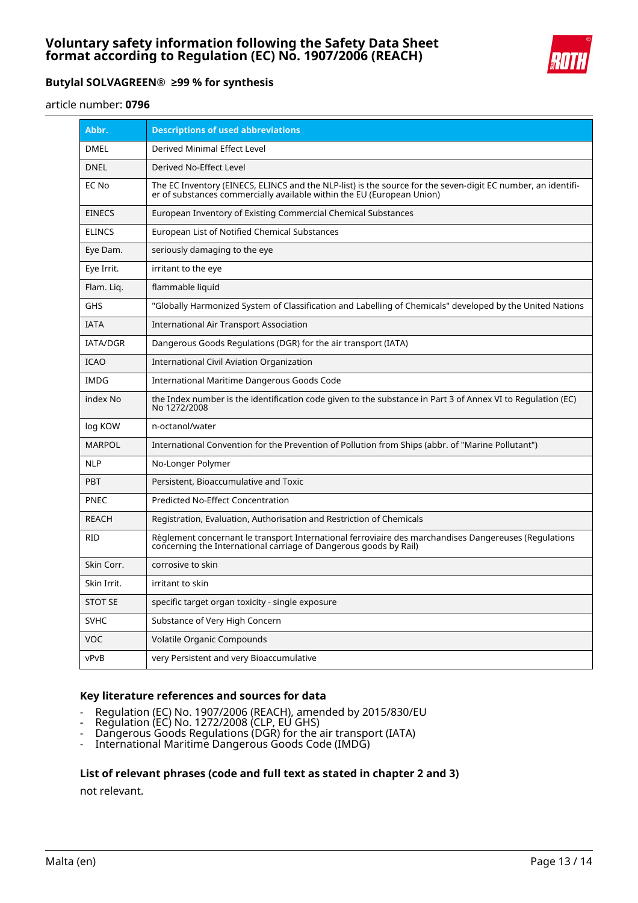

article number: **0796**

| Abbr.           | <b>Descriptions of used abbreviations</b>                                                                                                                                              |
|-----------------|----------------------------------------------------------------------------------------------------------------------------------------------------------------------------------------|
| DMEL            | Derived Minimal Effect Level                                                                                                                                                           |
| <b>DNEL</b>     | Derived No-Effect Level                                                                                                                                                                |
| EC No           | The EC Inventory (EINECS, ELINCS and the NLP-list) is the source for the seven-digit EC number, an identifi-<br>er of substances commercially available within the EU (European Union) |
| <b>EINECS</b>   | European Inventory of Existing Commercial Chemical Substances                                                                                                                          |
| <b>ELINCS</b>   | European List of Notified Chemical Substances                                                                                                                                          |
| Eye Dam.        | seriously damaging to the eye                                                                                                                                                          |
| Eye Irrit.      | irritant to the eye                                                                                                                                                                    |
| Flam. Lig.      | flammable liquid                                                                                                                                                                       |
| GHS             | "Globally Harmonized System of Classification and Labelling of Chemicals" developed by the United Nations                                                                              |
| <b>IATA</b>     | International Air Transport Association                                                                                                                                                |
| <b>IATA/DGR</b> | Dangerous Goods Regulations (DGR) for the air transport (IATA)                                                                                                                         |
| <b>ICAO</b>     | International Civil Aviation Organization                                                                                                                                              |
| IMDG            | International Maritime Dangerous Goods Code                                                                                                                                            |
| index No        | the Index number is the identification code given to the substance in Part 3 of Annex VI to Regulation (EC)<br>No 1272/2008                                                            |
| log KOW         | n-octanol/water                                                                                                                                                                        |
| <b>MARPOL</b>   | International Convention for the Prevention of Pollution from Ships (abbr. of "Marine Pollutant")                                                                                      |
| <b>NLP</b>      | No-Longer Polymer                                                                                                                                                                      |
| <b>PBT</b>      | Persistent, Bioaccumulative and Toxic                                                                                                                                                  |
| <b>PNEC</b>     | <b>Predicted No-Effect Concentration</b>                                                                                                                                               |
| <b>REACH</b>    | Registration, Evaluation, Authorisation and Restriction of Chemicals                                                                                                                   |
| <b>RID</b>      | Règlement concernant le transport International ferroviaire des marchandises Dangereuses (Regulations<br>concerning the International carriage of Dangerous goods by Rail)             |
| Skin Corr.      | corrosive to skin                                                                                                                                                                      |
| Skin Irrit.     | irritant to skin                                                                                                                                                                       |
| <b>STOT SE</b>  | specific target organ toxicity - single exposure                                                                                                                                       |
| <b>SVHC</b>     | Substance of Very High Concern                                                                                                                                                         |
| VOC             | Volatile Organic Compounds                                                                                                                                                             |
| vPvB            | very Persistent and very Bioaccumulative                                                                                                                                               |

#### **Key literature references and sources for data**

- Regulation (EC) No. 1907/2006 (REACH), amended by 2015/830/EU
- Regulation (EC) No. 1272/2008 (CLP, EU GHS)
- Dangerous Goods Regulations (DGR) for the air transport (IATA)
- International Maritime Dangerous Goods Code (IMDG)

#### **List of relevant phrases (code and full text as stated in chapter 2 and 3)**

not relevant.